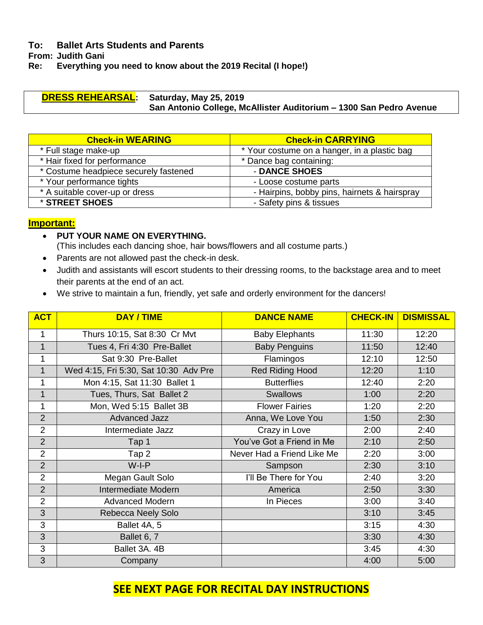## **To: Ballet Arts Students and Parents**

**From: Judith Gani**

**Re: Everything you need to know about the 2019 Recital (I hope!)**

### **DRESS REHEARSAL: Saturday, May 25, 2019 San Antonio College, McAllister Auditorium – 1300 San Pedro Avenue**

| <b>Check-in WEARING</b>               | <b>Check-in CARRYING</b>                     |  |
|---------------------------------------|----------------------------------------------|--|
| * Full stage make-up                  | * Your costume on a hanger, in a plastic bag |  |
| * Hair fixed for performance          | * Dance bag containing:                      |  |
| * Costume headpiece securely fastened | - DANCE SHOES                                |  |
| * Your performance tights             | - Loose costume parts                        |  |
| * A suitable cover-up or dress        | - Hairpins, bobby pins, hairnets & hairspray |  |
| * STREET SHOES                        | - Safety pins & tissues                      |  |

# **Important:**

- **PUT YOUR NAME ON EVERYTHING.** 
	- (This includes each dancing shoe, hair bows/flowers and all costume parts.)
- Parents are not allowed past the check-in desk.
- Judith and assistants will escort students to their dressing rooms, to the backstage area and to meet their parents at the end of an act.
- We strive to maintain a fun, friendly, yet safe and orderly environment for the dancers!

| <b>ACT</b>     | <b>DAY / TIME</b>                     | <b>DANCE NAME</b>          | <b>CHECK-IN</b> | <b>DISMISSAL</b> |
|----------------|---------------------------------------|----------------------------|-----------------|------------------|
| $\mathbf{1}$   | Thurs 10:15, Sat 8:30 Cr Mvt          | <b>Baby Elephants</b>      | 11:30           | 12:20            |
| $\mathbf{1}$   | Tues 4, Fri 4:30 Pre-Ballet           | <b>Baby Penguins</b>       | 11:50           | 12:40            |
| 1              | Sat 9:30 Pre-Ballet                   | Flamingos                  | 12:10           | 12:50            |
| $\mathbf{1}$   | Wed 4:15, Fri 5:30, Sat 10:30 Adv Pre | <b>Red Riding Hood</b>     | 12:20           | 1:10             |
| 1              | Mon 4:15, Sat 11:30 Ballet 1          | <b>Butterflies</b>         | 12:40           | 2:20             |
| $\mathbf{1}$   | Tues, Thurs, Sat Ballet 2             | <b>Swallows</b>            | 1:00            | 2:20             |
| $\mathbf{1}$   | Mon, Wed 5:15 Ballet 3B               | <b>Flower Fairies</b>      | 1:20            | 2:20             |
| $\overline{2}$ | <b>Advanced Jazz</b>                  | Anna, We Love You          | 1:50            | 2:30             |
| $\overline{2}$ | Intermediate Jazz                     | Crazy in Love              | 2:00            | 2:40             |
| $\overline{2}$ | Tap 1                                 | You've Got a Friend in Me  | 2:10            | 2:50             |
| $\overline{2}$ | Tap 2                                 | Never Had a Friend Like Me | 2:20            | 3:00             |
| $\overline{2}$ | $W-I-P$                               | Sampson                    | 2:30            | 3:10             |
| $\overline{2}$ | Megan Gault Solo                      | I'll Be There for You      | 2:40            | 3:20             |
| $\overline{2}$ | Intermediate Modern                   | America                    | 2:50            | 3:30             |
| $\overline{2}$ | <b>Advanced Modern</b>                | In Pieces                  | 3:00            | 3:40             |
| 3              | Rebecca Neely Solo                    |                            | 3:10            | 3:45             |
| 3              | Ballet 4A, 5                          |                            | 3:15            | 4:30             |
| 3              | Ballet 6, 7                           |                            | 3:30            | 4:30             |
| 3              | Ballet 3A. 4B                         |                            | 3:45            | 4:30             |
| 3              | Company                               |                            | 4:00            | 5:00             |

# **SEE NEXT PAGE FOR RECITAL DAY INSTRUCTIONS**